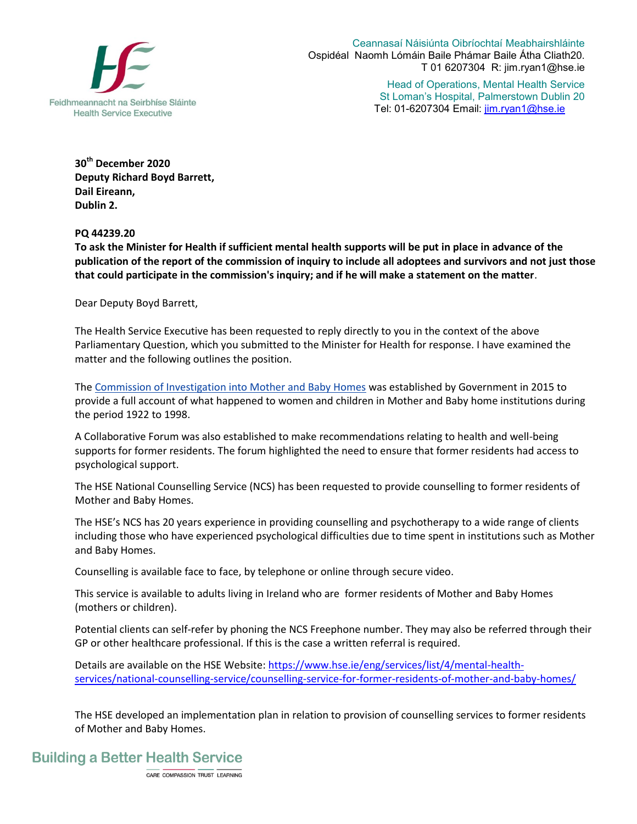

Ceannasaí Náisiúnta Oibríochtaí Meabhairshláinte Ospidéal Naomh Lómáin Baile Phámar Baile Átha Cliath20. T 01 6207304 R: jim.ryan1@hse.ie

> Head of Operations, Mental Health Service St Loman's Hospital, Palmerstown Dublin 20 Tel: 01-6207304 Email: jim.ryan1@hse.ie

**30th December 2020 Deputy Richard Boyd Barrett, Dail Eireann, Dublin 2.** 

**PQ 44239.20** 

**To ask the Minister for Health if sufficient mental health supports will be put in place in advance of the publication of the report of the commission of inquiry to include all adoptees and survivors and not just those that could participate in the commission's inquiry; and if he will make a statement on the matter**.

Dear Deputy Boyd Barrett,

The Health Service Executive has been requested to reply directly to you in the context of the above Parliamentary Question, which you submitted to the Minister for Health for response. I have examined the matter and the following outlines the position.

The [Commission of Investigation into Mother and Baby Homes](http://www.mbhcoi.ie/MBH.nsf/page/index-en) was established by Government in 2015 to provide a full account of what happened to women and children in Mother and Baby home institutions during the period 1922 to 1998.

A Collaborative Forum was also established to make recommendations relating to health and well-being supports for former residents. The forum highlighted the need to ensure that former residents had access to psychological support.

The HSE National Counselling Service (NCS) has been requested to provide counselling to former residents of Mother and Baby Homes.

The HSE's NCS has 20 years experience in providing counselling and psychotherapy to a wide range of clients including those who have experienced psychological difficulties due to time spent in institutions such as Mother and Baby Homes.

Counselling is available face to face, by telephone or online through secure video.

This service is available to adults living in Ireland who are former residents of Mother and Baby Homes (mothers or children).

Potential clients can self-refer by phoning the NCS Freephone number. They may also be referred through their GP or other healthcare professional. If this is the case a written referral is required.

Details are available on the HSE Website: [https://www.hse.ie/eng/services/list/4/mental-health](https://www.hse.ie/eng/services/list/4/mental-health-services/national-counselling-service/counselling-service-for-former-residents-of-mother-and-baby-homes/)[services/national-counselling-service/counselling-service-for-former-residents-of-mother-and-baby-homes/](https://www.hse.ie/eng/services/list/4/mental-health-services/national-counselling-service/counselling-service-for-former-residents-of-mother-and-baby-homes/)

The HSE developed an implementation plan in relation to provision of counselling services to former residents of Mother and Baby Homes.

## **Building a Better Health Service**

CARE COMPASSION TRUST LEARNING